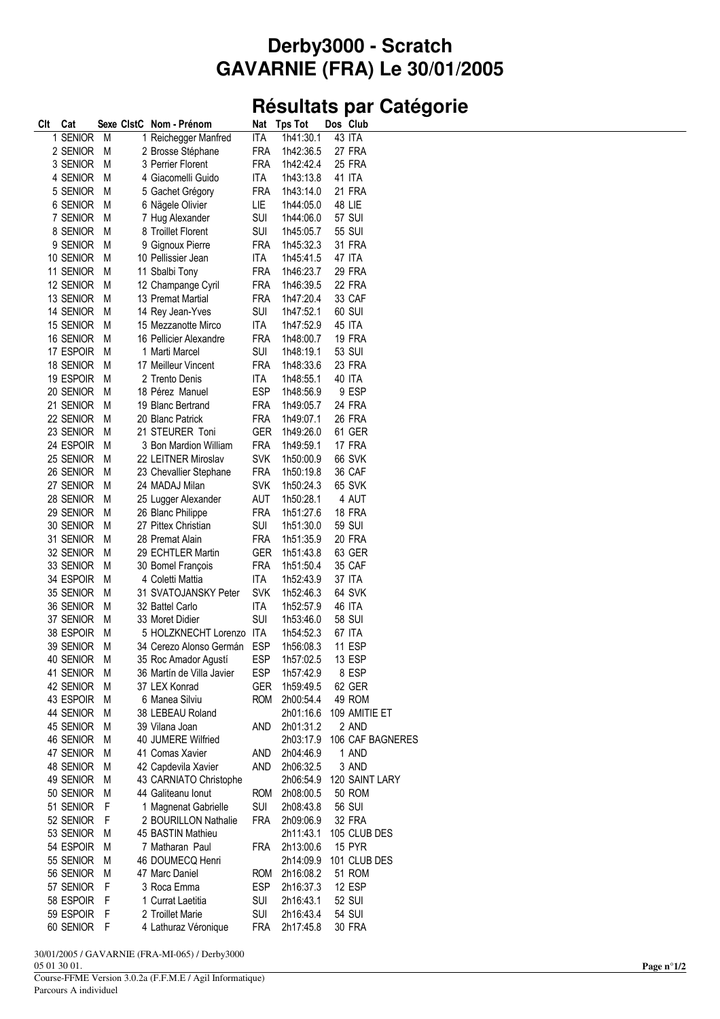## Derby3000 - Scratch **GAVARNIE (FRA) Le 30/01/2005**

## Résultats par Catégorie

| Clt | Cat         |     | Sexe ClstC Nom - Prénom   | Nat        | <b>Tps Tot</b> | Dos Club         |
|-----|-------------|-----|---------------------------|------------|----------------|------------------|
|     | 1 SENIOR    | M   | 1 Reichegger Manfred      | ITA        | 1h41:30.1      | 43 ITA           |
|     | 2 SENIOR    | M   | 2 Brosse Stéphane         | FRA        | 1h42:36.5      | 27 FRA           |
|     | 3 SENIOR    | M   | 3 Perrier Florent         | FRA        | 1h42:42.4      | 25 FRA           |
|     | 4 SENIOR    | M   | 4 Giacomelli Guido        | ITA        | 1h43:13.8      | 41 ITA           |
|     | 5 SENIOR    | M   | 5 Gachet Grégory          | FRA        | 1h43:14.0      | <b>21 FRA</b>    |
|     | 6 SENIOR    | M   | 6 Nägele Olivier          | LIE        | 1h44:05.0      | 48 LIE           |
|     | 7 SENIOR    | M   | 7 Hug Alexander           | SUI        | 1h44:06.0      | 57 SUI           |
|     | 8 SENIOR    | M   | 8 Troillet Florent        | SUI        | 1h45:05.7      | 55 SUI           |
|     | 9 SENIOR    | M   | 9 Gignoux Pierre          | FRA        | 1h45:32.3      | 31 FRA           |
|     | 10 SENIOR   | M   | 10 Pellissier Jean        | ITA        | 1h45:41.5      | 47 ITA           |
|     | 11 SENIOR   | M   | 11 Sbalbi Tony            | FRA        | 1h46:23.7      | <b>29 FRA</b>    |
|     | 12 SENIOR   | M   | 12 Champange Cyril        | <b>FRA</b> | 1h46:39.5      | 22 FRA           |
|     | 13 SENIOR   | M   | 13 Premat Martial         | FRA        | 1h47:20.4      | 33 CAF           |
|     | 14 SENIOR   | M   | 14 Rey Jean-Yves          | SUI        | 1h47:52.1      | 60 SUI           |
|     | 15 SENIOR   | M   | 15 Mezzanotte Mirco       | ITA        | 1h47:52.9      | 45 ITA           |
|     | 16 SENIOR   | M   | 16 Pellicier Alexandre    | FRA        | 1h48:00.7      | <b>19 FRA</b>    |
|     | 17 ESPOIR   | M   | 1 Marti Marcel            | SUI        | 1h48:19.1      | 53 SUI           |
|     | 18 SENIOR   | M   | 17 Meilleur Vincent       | FRA        | 1h48:33.6      | 23 FRA           |
|     | 19 ESPOIR   | M   | 2 Trento Denis            | ITA        | 1h48:55.1      | 40 ITA           |
|     | 20 SENIOR   | M   | 18 Pérez Manuel           | <b>ESP</b> | 1h48:56.9      | 9 ESP            |
|     | 21 SENIOR   | M   | 19 Blanc Bertrand         | <b>FRA</b> | 1h49:05.7      | 24 FRA           |
|     | 22 SENIOR   | M   | 20 Blanc Patrick          | <b>FRA</b> | 1h49:07.1      | <b>26 FRA</b>    |
|     | 23 SENIOR   | M   | 21 STEURER Toni           | <b>GER</b> | 1h49:26.0      | 61 GER           |
|     | 24 ESPOIR   |     |                           | FRA        |                | 17 FRA           |
|     |             | M   | 3 Bon Mardion William     |            | 1h49:59.1      |                  |
|     | 25 SENIOR   | M   | 22 LEITNER Miroslav       | <b>SVK</b> | 1h50:00.9      | 66 SVK           |
|     | 26 SENIOR   | M   | 23 Chevallier Stephane    | FRA        | 1h50:19.8      | 36 CAF           |
|     | 27 SENIOR   | M   | 24 MADAJ Milan            | <b>SVK</b> | 1h50:24.3      | 65 SVK           |
|     | 28 SENIOR   | M   | 25 Lugger Alexander       | AUT        | 1h50:28.1      | 4 AUT            |
|     | 29 SENIOR   | M   | 26 Blanc Philippe         | <b>FRA</b> | 1h51:27.6      | <b>18 FRA</b>    |
|     | 30 SENIOR   | M   | 27 Pittex Christian       | SUI        | 1h51:30.0      | 59 SUI           |
|     | 31 SENIOR   | M   | 28 Premat Alain           | <b>FRA</b> | 1h51:35.9      | <b>20 FRA</b>    |
|     | 32 SENIOR   | M   | 29 ECHTLER Martin         | GER        | 1h51:43.8      | 63 GER           |
|     | 33 SENIOR   | M   | 30 Bomel François         | FRA        | 1h51:50.4      | 35 CAF           |
|     | 34 ESPOIR   | M   | 4 Coletti Mattia          | <b>ITA</b> | 1h52:43.9      | 37 ITA           |
|     | 35 SENIOR   | M   | 31 SVATOJANSKY Peter      | <b>SVK</b> | 1h52:46.3      | 64 SVK           |
|     | 36 SENIOR   | M   | 32 Battel Carlo           | ITA        | 1h52:57.9      | 46 ITA           |
|     | 37 SENIOR   | M   | 33 Moret Didier           | <b>SUI</b> | 1h53:46.0      | 58 SUI           |
|     | 38 ESPOIR   | M   | 5 HOLZKNECHT Lorenzo      | ITA        | 1h54:52.3      | 67 ITA           |
|     | 39 SENIOR   | M   | 34 Cerezo Alonso Germán   | <b>ESP</b> | 1h56:08.3      | 11 ESP           |
|     | 40 SENIOR   | M   | 35 Roc Amador Agusti      | ESP        | 1h57:02.5      | 13 ESP           |
|     | 41 SENIOR M |     | 36 Martín de Villa Javier | <b>ESP</b> | 1h57:42.9      | 8 ESP            |
|     | 42 SENIOR   | M   | 37 LEX Konrad             | GER        | 1h59:49.5      | 62 GER           |
|     | 43 ESPOIR   | M   | 6 Manea Silviu            | <b>ROM</b> | 2h00:54.4      | 49 ROM           |
|     | 44 SENIOR   | M   | 38 LEBEAU Roland          |            | 2h01:16.6      | 109 AMITIE ET    |
|     | 45 SENIOR   | M   | 39 Vilana Joan            | AND        | 2h01:31.2      | 2 AND            |
|     | 46 SENIOR   | M   | 40 JUMERE Wilfried        |            | 2h03:17.9      | 106 CAF BAGNERES |
|     | 47 SENIOR   | M   | 41 Comas Xavier           | AND        | 2h04:46.9      | 1 AND            |
|     | 48 SENIOR M |     | 42 Capdevila Xavier       | and        | 2h06:32.5      | 3 AND            |
|     | 49 SENIOR   | M   | 43 CARNIATO Christophe    |            | 2h06:54.9      | 120 SAINT LARY   |
|     | 50 SENIOR   | M   | 44 Galiteanu Ionut        | <b>ROM</b> | 2h08:00.5      | 50 ROM           |
|     | 51 SENIOR   | - F | 1 Magnenat Gabrielle      | SUI        | 2h08:43.8      | <b>56 SUI</b>    |
|     | 52 SENIOR   | - F | 2 BOURILLON Nathalie      | FRA        | 2h09:06.9      | 32 FRA           |
|     | 53 SENIOR   | M   | 45 BASTIN Mathieu         |            | 2h11:43.1      | 105 CLUB DES     |
|     | 54 ESPOIR   | M   | 7 Matharan Paul           | FRA        | 2h13:00.6      | 15 PYR           |
|     | 55 SENIOR   | M   | 46 DOUMECQ Henri          |            | 2h14:09.9      | 101 CLUB DES     |
|     | 56 SENIOR   | M   | 47 Marc Daniel            | <b>ROM</b> | 2h16:08.2      | 51 ROM           |
|     | 57 SENIOR   | -F  | 3 Roca Emma               | <b>ESP</b> | 2h16:37.3      | 12 ESP           |
|     | 58 ESPOIR   | - F | 1 Currat Laetitia         | SUI        | 2h16:43.1      | 52 SUI           |
|     | 59 ESPOIR   | -F  | 2 Troillet Marie          | SUI        | 2h16:43.4      | 54 SUI           |
|     | 60 SENIOR F |     | 4 Lathuraz Véronique      | FRA        | 2h17:45.8      | <b>30 FRA</b>    |
|     |             |     |                           |            |                |                  |

30/01/2005 / GAVARNIE (FRA-MI-065) / Derby3000 05 01 30 01.